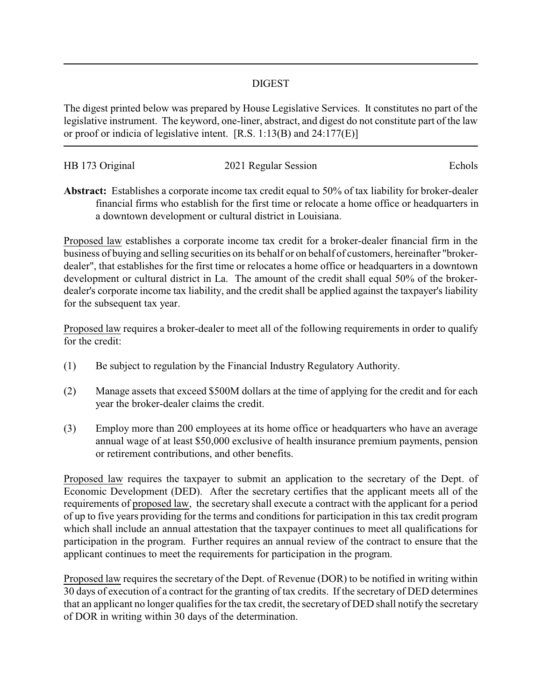## DIGEST

The digest printed below was prepared by House Legislative Services. It constitutes no part of the legislative instrument. The keyword, one-liner, abstract, and digest do not constitute part of the law or proof or indicia of legislative intent. [R.S. 1:13(B) and 24:177(E)]

| HB 173 Original | 2021 Regular Session | Echols |
|-----------------|----------------------|--------|
|                 |                      |        |

**Abstract:** Establishes a corporate income tax credit equal to 50% of tax liability for broker-dealer financial firms who establish for the first time or relocate a home office or headquarters in a downtown development or cultural district in Louisiana.

Proposed law establishes a corporate income tax credit for a broker-dealer financial firm in the business of buying and selling securities on its behalf or on behalf of customers, hereinafter "brokerdealer", that establishes for the first time or relocates a home office or headquarters in a downtown development or cultural district in La. The amount of the credit shall equal 50% of the brokerdealer's corporate income tax liability, and the credit shall be applied against the taxpayer's liability for the subsequent tax year.

Proposed law requires a broker-dealer to meet all of the following requirements in order to qualify for the credit:

- (1) Be subject to regulation by the Financial Industry Regulatory Authority.
- (2) Manage assets that exceed \$500M dollars at the time of applying for the credit and for each year the broker-dealer claims the credit.
- (3) Employ more than 200 employees at its home office or headquarters who have an average annual wage of at least \$50,000 exclusive of health insurance premium payments, pension or retirement contributions, and other benefits.

Proposed law requires the taxpayer to submit an application to the secretary of the Dept. of Economic Development (DED). After the secretary certifies that the applicant meets all of the requirements of proposed law, the secretary shall execute a contract with the applicant for a period of up to five years providing for the terms and conditions for participation in this tax credit program which shall include an annual attestation that the taxpayer continues to meet all qualifications for participation in the program. Further requires an annual review of the contract to ensure that the applicant continues to meet the requirements for participation in the program.

Proposed law requires the secretary of the Dept. of Revenue (DOR) to be notified in writing within 30 days of execution of a contract for the granting of tax credits. If the secretary of DED determines that an applicant no longer qualifies for the tax credit, the secretary of DED shall notify the secretary of DOR in writing within 30 days of the determination.